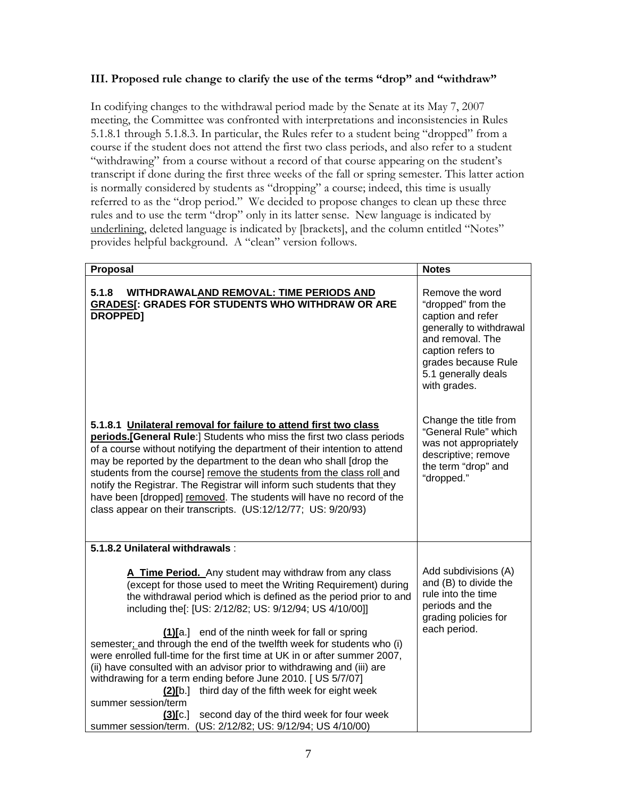## **III. Proposed rule change to clarify the use of the terms "drop" and "withdraw"**

In codifying changes to the withdrawal period made by the Senate at its May 7, 2007 meeting, the Committee was confronted with interpretations and inconsistencies in Rules 5.1.8.1 through 5.1.8.3. In particular, the Rules refer to a student being "dropped" from a course if the student does not attend the first two class periods, and also refer to a student "withdrawing" from a course without a record of that course appearing on the student's transcript if done during the first three weeks of the fall or spring semester. This latter action is normally considered by students as "dropping" a course; indeed, this time is usually referred to as the "drop period." We decided to propose changes to clean up these three rules and to use the term "drop" only in its latter sense. New language is indicated by underlining, deleted language is indicated by [brackets], and the column entitled "Notes" provides helpful background. A "clean" version follows.

| Proposal                                                                                                                                                                                                                                                                                                                                                                                                                                                                                                                                                                                                                                                                                                                                                                                                                 | <b>Notes</b>                                                                                                                                                                                 |
|--------------------------------------------------------------------------------------------------------------------------------------------------------------------------------------------------------------------------------------------------------------------------------------------------------------------------------------------------------------------------------------------------------------------------------------------------------------------------------------------------------------------------------------------------------------------------------------------------------------------------------------------------------------------------------------------------------------------------------------------------------------------------------------------------------------------------|----------------------------------------------------------------------------------------------------------------------------------------------------------------------------------------------|
| 5.1.8<br>WITHDRAWALAND REMOVAL: TIME PERIODS AND<br><b>GRADES[: GRADES FOR STUDENTS WHO WITHDRAW OR ARE</b><br><b>DROPPED1</b>                                                                                                                                                                                                                                                                                                                                                                                                                                                                                                                                                                                                                                                                                           | Remove the word<br>"dropped" from the<br>caption and refer<br>generally to withdrawal<br>and removal. The<br>caption refers to<br>grades because Rule<br>5.1 generally deals<br>with grades. |
| 5.1.8.1 Unilateral removal for failure to attend first two class<br>periods.[General Rule:] Students who miss the first two class periods<br>of a course without notifying the department of their intention to attend<br>may be reported by the department to the dean who shall [drop the<br>students from the course] remove the students from the class roll and<br>notify the Registrar. The Registrar will inform such students that they<br>have been [dropped] removed. The students will have no record of the<br>class appear on their transcripts. (US:12/12/77; US: 9/20/93)                                                                                                                                                                                                                                 | Change the title from<br>"General Rule" which<br>was not appropriately<br>descriptive; remove<br>the term "drop" and<br>"dropped."                                                           |
| 5.1.8.2 Unilateral withdrawals:                                                                                                                                                                                                                                                                                                                                                                                                                                                                                                                                                                                                                                                                                                                                                                                          |                                                                                                                                                                                              |
| A Time Period. Any student may withdraw from any class<br>(except for those used to meet the Writing Requirement) during<br>the withdrawal period which is defined as the period prior to and<br>including the [: [US: 2/12/82; US: 9/12/94; US 4/10/00]]<br>(1)[a.] end of the ninth week for fall or spring<br>semester; and through the end of the twelfth week for students who (i)<br>were enrolled full-time for the first time at UK in or after summer 2007,<br>(ii) have consulted with an advisor prior to withdrawing and (iii) are<br>withdrawing for a term ending before June 2010. [ US 5/7/07]<br>third day of the fifth week for eight week<br>$(2)$ [b.]<br>summer session/term<br>second day of the third week for four week<br>(3)[c]<br>summer session/term. (US: 2/12/82; US: 9/12/94; US 4/10/00) | Add subdivisions (A)<br>and (B) to divide the<br>rule into the time<br>periods and the<br>grading policies for<br>each period.                                                               |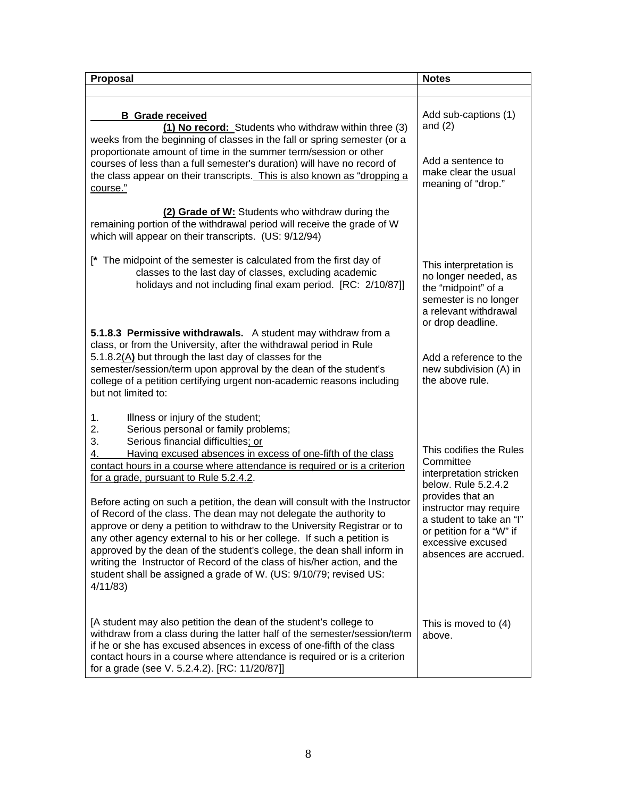| Proposal                                                                                                                                                                                                                                                                                                                                                                                                                                                                                                                                                                                                                                                                                                                                                                                                                                                                       | <b>Notes</b>                                                                                                                                                                                                                               |
|--------------------------------------------------------------------------------------------------------------------------------------------------------------------------------------------------------------------------------------------------------------------------------------------------------------------------------------------------------------------------------------------------------------------------------------------------------------------------------------------------------------------------------------------------------------------------------------------------------------------------------------------------------------------------------------------------------------------------------------------------------------------------------------------------------------------------------------------------------------------------------|--------------------------------------------------------------------------------------------------------------------------------------------------------------------------------------------------------------------------------------------|
|                                                                                                                                                                                                                                                                                                                                                                                                                                                                                                                                                                                                                                                                                                                                                                                                                                                                                |                                                                                                                                                                                                                                            |
| <b>B</b> Grade received<br>(1) No record: Students who withdraw within three (3)<br>weeks from the beginning of classes in the fall or spring semester (or a<br>proportionate amount of time in the summer term/session or other<br>courses of less than a full semester's duration) will have no record of<br>the class appear on their transcripts. This is also known as "dropping a<br>course."                                                                                                                                                                                                                                                                                                                                                                                                                                                                            | Add sub-captions (1)<br>and $(2)$<br>Add a sentence to<br>make clear the usual<br>meaning of "drop."                                                                                                                                       |
| (2) Grade of W: Students who withdraw during the<br>remaining portion of the withdrawal period will receive the grade of W<br>which will appear on their transcripts. (US: 9/12/94)                                                                                                                                                                                                                                                                                                                                                                                                                                                                                                                                                                                                                                                                                            |                                                                                                                                                                                                                                            |
| [* The midpoint of the semester is calculated from the first day of<br>classes to the last day of classes, excluding academic<br>holidays and not including final exam period. [RC: 2/10/87]]                                                                                                                                                                                                                                                                                                                                                                                                                                                                                                                                                                                                                                                                                  | This interpretation is<br>no longer needed, as<br>the "midpoint" of a<br>semester is no longer<br>a relevant withdrawal<br>or drop deadline.                                                                                               |
| 5.1.8.3 Permissive withdrawals. A student may withdraw from a<br>class, or from the University, after the withdrawal period in Rule<br>5.1.8.2(A) but through the last day of classes for the<br>semester/session/term upon approval by the dean of the student's<br>college of a petition certifying urgent non-academic reasons including<br>but not limited to:                                                                                                                                                                                                                                                                                                                                                                                                                                                                                                             | Add a reference to the<br>new subdivision (A) in<br>the above rule.                                                                                                                                                                        |
| Illness or injury of the student;<br>1.<br>2.<br>Serious personal or family problems;<br>Serious financial difficulties; or<br>3.<br>Having excused absences in excess of one-fifth of the class<br>4.<br>contact hours in a course where attendance is required or is a criterion<br>for a grade, pursuant to Rule 5.2.4.2.<br>Before acting on such a petition, the dean will consult with the Instructor<br>of Record of the class. The dean may not delegate the authority to<br>approve or deny a petition to withdraw to the University Registrar or to<br>any other agency external to his or her college. If such a petition is<br>approved by the dean of the student's college, the dean shall inform in<br>writing the Instructor of Record of the class of his/her action, and the<br>student shall be assigned a grade of W. (US: 9/10/79; revised US:<br>4/11/83 | This codifies the Rules<br>Committee<br>interpretation stricken<br>below. Rule 5.2.4.2<br>provides that an<br>instructor may require<br>a student to take an "I"<br>or petition for a "W" if<br>excessive excused<br>absences are accrued. |
| [A student may also petition the dean of the student's college to<br>withdraw from a class during the latter half of the semester/session/term<br>if he or she has excused absences in excess of one-fifth of the class<br>contact hours in a course where attendance is required or is a criterion<br>for a grade (see V. 5.2.4.2). [RC: 11/20/87]]                                                                                                                                                                                                                                                                                                                                                                                                                                                                                                                           | This is moved to (4)<br>above.                                                                                                                                                                                                             |